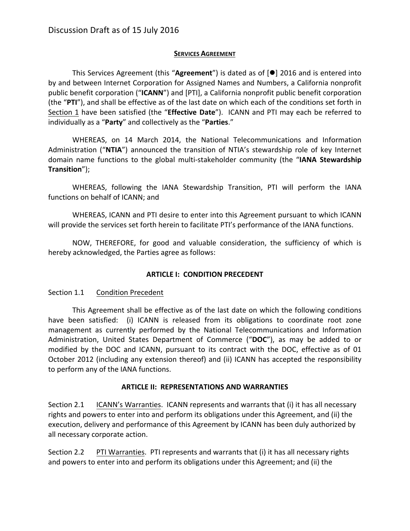# **SERVICES AGREEMENT**

This Services Agreement (this "Agreement") is dated as of  $[①]$  2016 and is entered into by and between Internet Corporation for Assigned Names and Numbers, a California nonprofit public benefit corporation ("ICANN") and [PTI], a California nonprofit public benefit corporation (the "PTI"), and shall be effective as of the last date on which each of the conditions set forth in Section 1 have been satisfied (the "Effective Date"). ICANN and PTI may each be referred to individually as a "Party" and collectively as the "Parties."

WHEREAS, on 14 March 2014, the National Telecommunications and Information Administration ("NTIA") announced the transition of NTIA's stewardship role of key Internet domain name functions to the global multi-stakeholder community (the "IANA Stewardship **Transition**");

WHEREAS, following the IANA Stewardship Transition, PTI will perform the IANA functions on behalf of ICANN; and

WHEREAS, ICANN and PTI desire to enter into this Agreement pursuant to which ICANN will provide the services set forth herein to facilitate PTI's performance of the IANA functions.

NOW, THEREFORE, for good and valuable consideration, the sufficiency of which is hereby acknowledged, the Parties agree as follows:

# **ARTICLE I: CONDITION PRECEDENT**

# Section 1.1 Condition Precedent

This Agreement shall be effective as of the last date on which the following conditions have been satisfied: (i) ICANN is released from its obligations to coordinate root zone management as currently performed by the National Telecommunications and Information Administration, United States Department of Commerce ("DOC"), as may be added to or modified by the DOC and ICANN, pursuant to its contract with the DOC, effective as of 01 October 2012 (including any extension thereof) and (ii) ICANN has accepted the responsibility to perform any of the IANA functions.

# **ARTICLE II: REPRESENTATIONS AND WARRANTIES**

Section 2.1 ICANN's Warranties. ICANN represents and warrants that (i) it has all necessary rights and powers to enter into and perform its obligations under this Agreement, and (ii) the execution, delivery and performance of this Agreement by ICANN has been duly authorized by all necessary corporate action.

Section 2.2 PTI Warranties. PTI represents and warrants that (i) it has all necessary rights and powers to enter into and perform its obligations under this Agreement; and (ii) the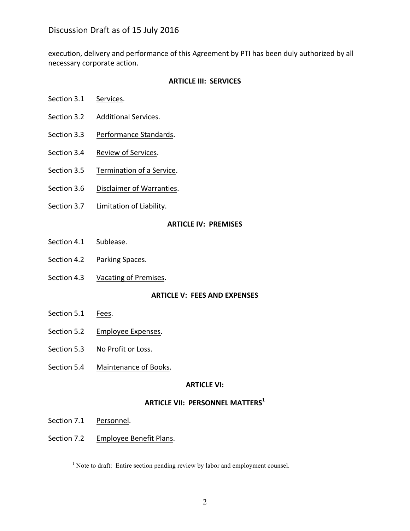execution, delivery and performance of this Agreement by PTI has been duly authorized by all necessary corporate action.

## **ARTICLE III: SERVICES**

- Section 3.1 Services.
- Section 3.2 Additional Services.
- Section 3.3 Performance Standards.
- Section 3.4 Review of Services.
- Section 3.5 Termination of a Service.
- Section 3.6 Disclaimer of Warranties.
- Section 3.7 Limitation of Liability.

### **ARTICLE IV: PREMISES**

- Section 4.1 Sublease.
- Section 4.2 Parking Spaces.
- Section 4.3 Vacating of Premises.

### **ARTICLE V: FEES AND EXPENSES**

- Section 5.1 Fees.
- Section 5.2 Employee Expenses.
- Section 5.3 No Profit or Loss.
- Section 5.4 Maintenance of Books.

### **ARTICLE VI:**

## **ARTICLE VII: PERSONNEL MATTERS1**

- Section 7.1 Personnel.
- Section 7.2 Employee Benefit Plans.

<sup>&</sup>lt;sup>1</sup> Note to draft: Entire section pending review by labor and employment counsel.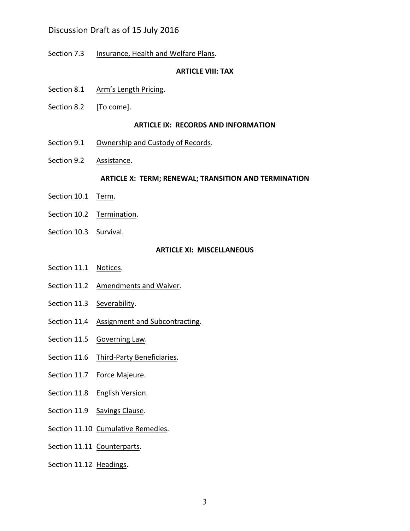# Discussion Draft as of 15 July 2016

Section 7.3 Insurance, Health and Welfare Plans.

#### **ARTICLE VIII: TAX**

- Section 8.1 Arm's Length Pricing.
- Section 8.2 [To come].

#### **ARTICLE IX: RECORDS AND INFORMATION**

- Section 9.1 Ownership and Custody of Records.
- Section 9.2 Assistance.

#### **ARTICLE X: TERM; RENEWAL; TRANSITION AND TERMINATION**

- Section 10.1 Term.
- Section 10.2 Termination.
- Section 10.3 Survival.

#### **ARTICLE XI: MISCELLANEOUS**

- Section 11.1 Notices.
- Section 11.2 Amendments and Waiver.
- Section 11.3 Severability.
- Section 11.4 Assignment and Subcontracting.
- Section 11.5 Governing Law.
- Section 11.6 Third-Party Beneficiaries.
- Section 11.7 Force Majeure.
- Section 11.8 English Version.
- Section 11.9 Savings Clause.
- Section 11.10 Cumulative Remedies.
- Section 11.11 Counterparts.
- Section 11.12 Headings.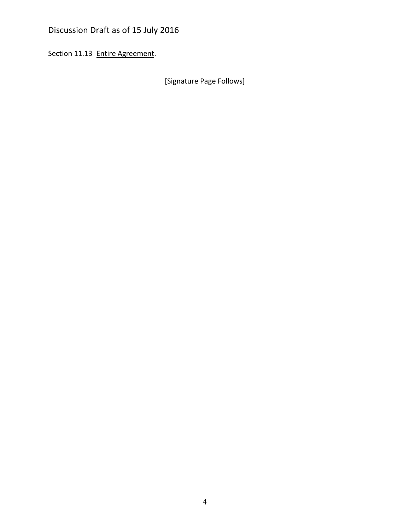# Discussion Draft as of 15 July 2016

Section 11.13 Entire Agreement.

[Signature Page Follows]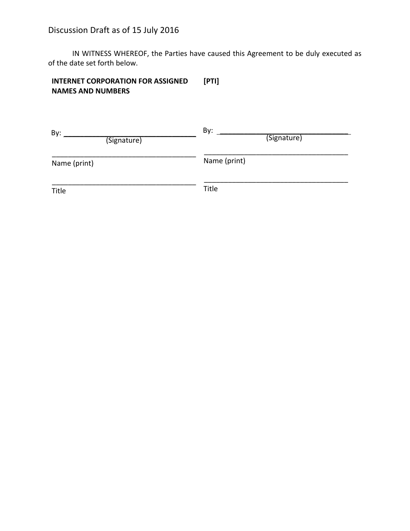IN WITNESS WHEREOF, the Parties have caused this Agreement to be duly executed as of the date set forth below.

#### **INTERNET CORPORATION FOR ASSIGNED NAMES AND NUMBERS [PTI]**

| By:<br>(Signature) | By:<br>(Signature) |
|--------------------|--------------------|
| Name (print)       | Name (print)       |
| <b>Title</b>       | <b>Title</b>       |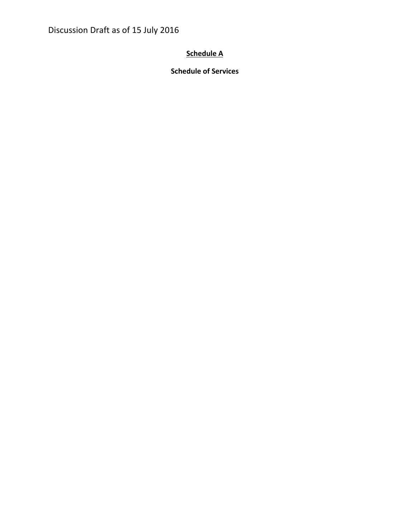Discussion Draft as of 15 July 2016

# **Schedule A**

**Schedule of Services**